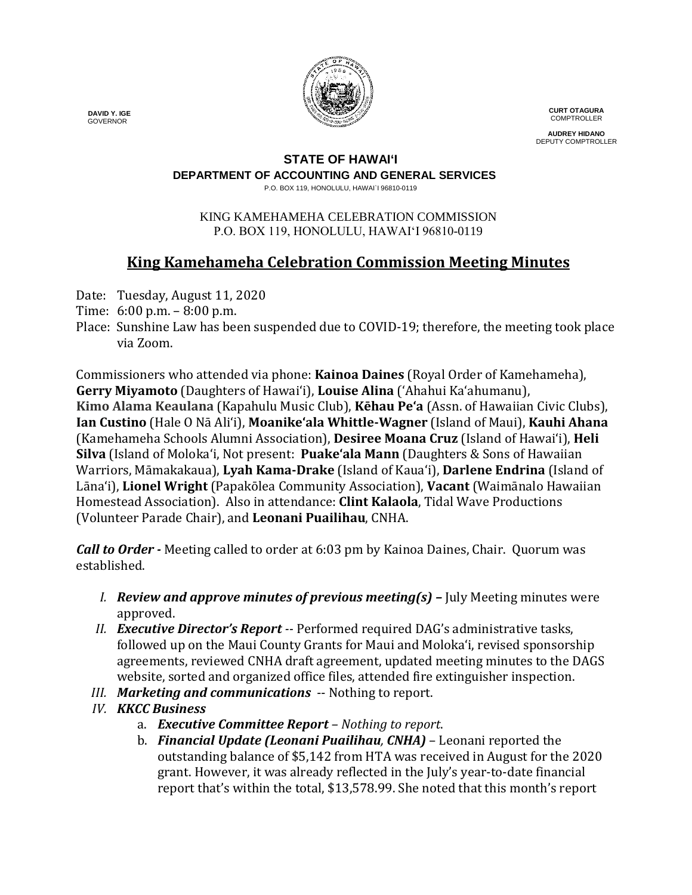

**CURT OTAGURA COMPTROLLER** 

**AUDREY HIDANO** DEPUTY COMPTROLLER

### **STATE OF HAWAI'I**

**DEPARTMENT OF ACCOUNTING AND GENERAL SERVICES**

P.O. BOX 119, HONOLULU, HAWAI`I 96810-0119

#### KING KAMEHAMEHA CELEBRATION COMMISSION P.O. BOX 119, HONOLULU, HAWAIʻI 96810-0119

# **King Kamehameha Celebration Commission Meeting Minutes**

- Date: Tuesday, August 11, 2020
- Time: 6:00 p.m. 8:00 p.m.
- Place: Sunshine Law has been suspended due to COVID-19; therefore, the meeting took place via Zoom.

Commissioners who attended via phone: **Kainoa Daines** (Royal Order of Kamehameha), **Gerry Miyamoto** (Daughters of Hawai'i), **Louise Alina** ('Ahahui Ka'ahumanu), **Kimo Alama Keaulana** (Kapahulu Music Club), **Kēhau Pe'a** (Assn. of Hawaiian Civic Clubs), **Ian Custino** (Hale O Nā Ali'i), **Moanike'ala Whittle-Wagner** (Island of Maui), **Kauhi Ahana** (Kamehameha Schools Alumni Association), **Desiree Moana Cruz** (Island of Hawai'i), **Heli Silva** (Island of Molokaʻi, Not present: **Puake'ala Mann** (Daughters & Sons of Hawaiian Warriors, Māmakakaua), **Lyah Kama-Drake** (Island of Kaua'i), **Darlene Endrina** (Island of Lāna'i), **Lionel Wright** (Papakōlea Community Association), **Vacant** (Waimānalo Hawaiian Homestead Association). Also in attendance: **Clint Kalaola**, Tidal Wave Productions (Volunteer Parade Chair), and **Leonani Puailihau**, CNHA.

*Call to Order -* Meeting called to order at 6:03 pm by Kainoa Daines, Chair. Quorum was established.

- *I. Review and approve minutes of previous meeting(s) –* July Meeting minutes were approved.
- *II. Executive Director's Report --* Performed required DAG's administrative tasks, followed up on the Maui County Grants for Maui and Molokaʻi, revised sponsorship agreements, reviewed CNHA draft agreement, updated meeting minutes to the DAGS website, sorted and organized office files, attended fire extinguisher inspection.
- *III. Marketing and communications* -- Nothing to report.
- *IV. KKCC Business* 
	- a. *Executive Committee Report – Nothing to report*.
	- b. *Financial Update (Leonani Puailihau, CNHA)* Leonani reported the outstanding balance of \$5,142 from HTA was received in August for the 2020 grant. However, it was already reflected in the July's year-to-date financial report that's within the total, \$13,578.99. She noted that this month's report

 **DAVID Y. IGE** GOVERNOR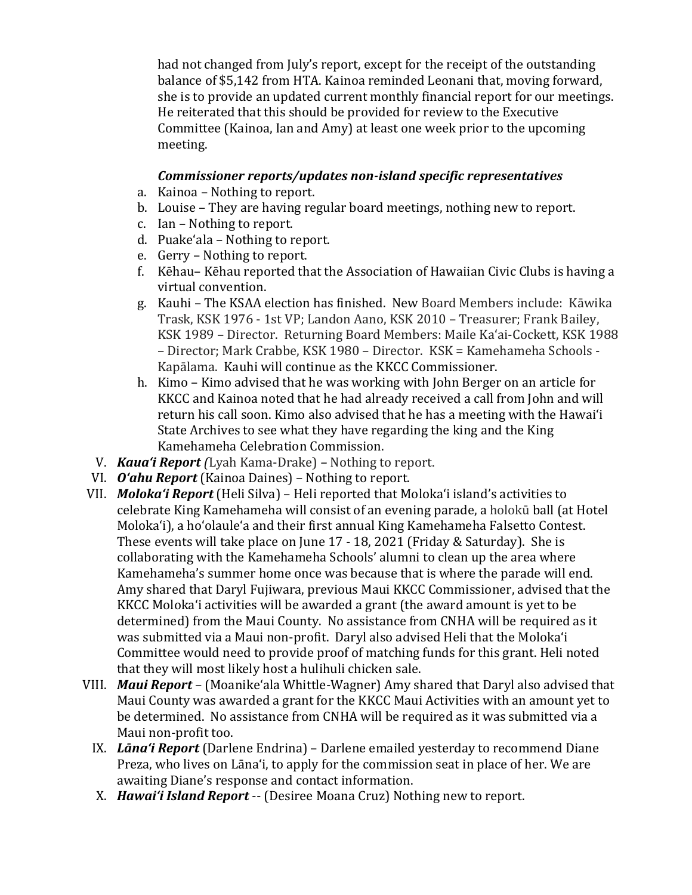had not changed from July's report, except for the receipt of the outstanding balance of \$5,142 from HTA. Kainoa reminded Leonani that, moving forward, she is to provide an updated current monthly financial report for our meetings. He reiterated that this should be provided for review to the Executive Committee (Kainoa, Ian and Amy) at least one week prior to the upcoming meeting.

#### *Commissioner reports/updates non-island specific representatives*

- a. Kainoa Nothing to report.
- b. Louise They are having regular board meetings, nothing new to report.
- c. Ian Nothing to report.
- d. Puakeʻala Nothing to report.
- e. Gerry Nothing to report.
- f. Kēhau– Kēhau reported that the Association of Hawaiian Civic Clubs is having a virtual convention.
- g. Kauhi The KSAA election has finished. New Board Members include: Kāwika Trask, KSK 1976 - 1st VP; Landon Aano, KSK 2010 – Treasurer; Frank Bailey, KSK 1989 – Director. Returning Board Members: Maile Kaʻai-Cockett, KSK 1988 – Director; Mark Crabbe, KSK 1980 – Director. KSK = Kamehameha Schools - Kapālama. Kauhi will continue as the KKCC Commissioner.
- h. Kimo Kimo advised that he was working with John Berger on an article for KKCC and Kainoa noted that he had already received a call from John and will return his call soon. Kimo also advised that he has a meeting with the Hawaiʻi State Archives to see what they have regarding the king and the King Kamehameha Celebration Commission.
- V. *Kaua'i Report (*Lyah Kama-Drake) *–* Nothing to report.
- VI. *O'ahu Report* (Kainoa Daines) Nothing to report.
- VII. *Moloka'i Report* (Heli Silva) Heli reported that Molokaʻi island's activities to celebrate King Kamehameha will consist of an evening parade, a holokū ball (at Hotel Molokaʻi), a hoʻolauleʻa and their first annual King Kamehameha Falsetto Contest. These events will take place on June 17 - 18, 2021 (Friday & Saturday). She is collaborating with the Kamehameha Schools' alumni to clean up the area where Kamehameha's summer home once was because that is where the parade will end. Amy shared that Daryl Fujiwara, previous Maui KKCC Commissioner, advised that the KKCC Molokaʻi activities will be awarded a grant (the award amount is yet to be determined) from the Maui County. No assistance from CNHA will be required as it was submitted via a Maui non-profit. Daryl also advised Heli that the Molokaʻi Committee would need to provide proof of matching funds for this grant. Heli noted that they will most likely host a hulihuli chicken sale.
- VIII. *Maui Report* (Moanikeʻala Whittle-Wagner) Amy shared that Daryl also advised that Maui County was awarded a grant for the KKCC Maui Activities with an amount yet to be determined. No assistance from CNHA will be required as it was submitted via a Maui non-profit too.
	- IX. *Lāna'i Report* (Darlene Endrina) Darlene emailed yesterday to recommend Diane Preza, who lives on Lāna'i, to apply for the commission seat in place of her. We are awaiting Diane's response and contact information.
	- X. *Hawai'i Island Report* -- (Desiree Moana Cruz) Nothing new to report.